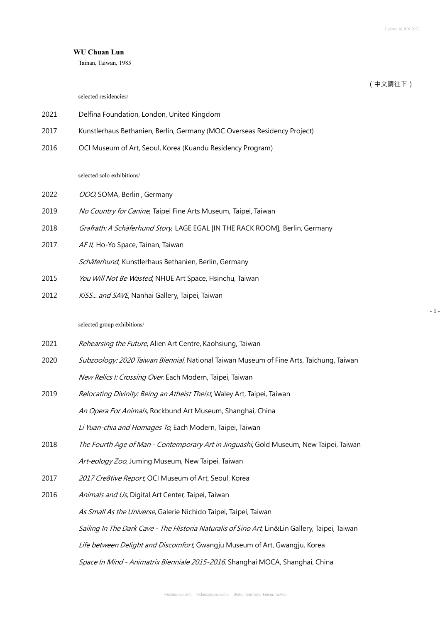- 1 -

# **WU Chuan Lun**

Tainan, Taiwan, 1985

|      |                                                                                                | (中文請往下) |
|------|------------------------------------------------------------------------------------------------|---------|
|      | selected residencies/                                                                          |         |
| 2021 | Delfina Foundation, London, United Kingdom                                                     |         |
| 2017 | Kunstlerhaus Bethanien, Berlin, Germany (MOC Overseas Residency Project)                       |         |
| 2016 | OCI Museum of Art, Seoul, Korea (Kuandu Residency Program)                                     |         |
|      | selected solo exhibitions/                                                                     |         |
| 2022 |                                                                                                |         |
|      | OOO, SOMA, Berlin, Germany                                                                     |         |
| 2019 | No Country for Canine, Taipei Fine Arts Museum, Taipei, Taiwan                                 |         |
| 2018 | Grafrath: A Schäferhund Story, LAGE EGAL [IN THE RACK ROOM], Berlin, Germany                   |         |
| 2017 | AF II, Ho-Yo Space, Tainan, Taiwan                                                             |         |
|      | Schäferhund, Kunstlerhaus Bethanien, Berlin, Germany                                           |         |
| 2015 | You Will Not Be Wasted, NHUE Art Space, Hsinchu, Taiwan                                        |         |
| 2012 | KiSS and SAVE, Nanhai Gallery, Taipei, Taiwan                                                  |         |
|      | selected group exhibitions/                                                                    |         |
| 2021 | Rehearsing the Future, Alien Art Centre, Kaohsiung, Taiwan                                     |         |
| 2020 | Subzoology: 2020 Taiwan Biennial, National Taiwan Museum of Fine Arts, Taichung, Taiwan        |         |
|      | New Relics I: Crossing Over, Each Modern, Taipei, Taiwan                                       |         |
| 2019 | Relocating Divinity: Being an Atheist Theist, Waley Art, Taipei, Taiwan                        |         |
|      | An Opera For Animals, Rockbund Art Museum, Shanghai, China                                     |         |
|      | Li Yuan-chia and Homages To, Each Modern, Taipei, Taiwan                                       |         |
| 2018 | The Fourth Age of Man - Contemporary Art in Jinguashi, Gold Museum, New Taipei, Taiwan         |         |
|      | Art-eology Zoo, Juming Museum, New Taipei, Taiwan                                              |         |
| 2017 | 2017 Cre8tive Report, OCI Museum of Art, Seoul, Korea                                          |         |
| 2016 | Animals and Us, Digital Art Center, Taipei, Taiwan                                             |         |
|      | As Small As the Universe, Galerie Nichido Taipei, Taipei, Taiwan                               |         |
|      | Sailing In The Dark Cave - The Historia Naturalis of Sino Art, Lin&Lin Gallery, Taipei, Taiwan |         |
|      | Life between Delight and Discomfort, Gwangju Museum of Art, Gwangju, Korea                     |         |
|      | Space In Mind - Animatrix Bienniale 2015-2016, Shanghai MOCA, Shanghai, China                  |         |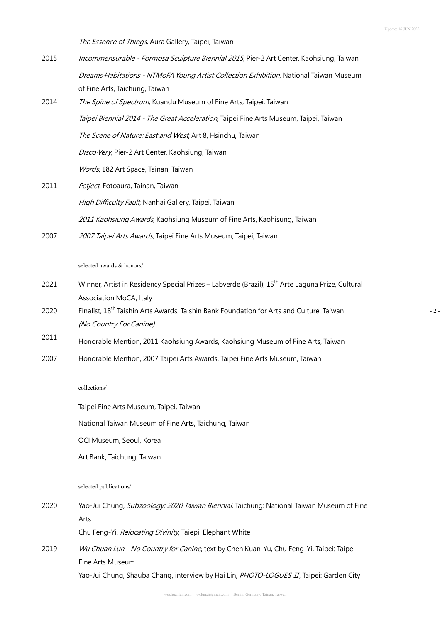$- 2 -$ 

The Essence of Things, Aura Gallery, Taipei, Taiwan

- 2015 Incommensurable Formosa Sculpture Biennial 2015, Pier-2 Art Center, Kaohsiung, Taiwan Dreams Habitations - NTMoFA Young Artist Collection Exhibition, National Taiwan Museum of Fine Arts, Taichung, Taiwan
- 2014 *The Spine of Spectrum*, Kuandu Museum of Fine Arts, Taipei, Taiwan Taipei Biennial 2014 - The Great Acceleration, Taipei Fine Arts Museum, Taipei, Taiwan The Scene of Nature: East and West, Art 8, Hsinchu, Taiwan Disco·Very, Pier-2 Art Center, Kaohsiung, Taiwan Words, 182 Art Space, Tainan, Taiwan
- 2011 Petject, Fotoaura, Tainan, Taiwan High Difficulty Fault, Nanhai Gallery, Taipei, Taiwan 2011 Kaohsiung Awards, Kaohsiung Museum of Fine Arts, Kaohisung, Taiwan
- 2007 2007 *Zaipei Arts Awards*, Taipei Fine Arts Museum, Taipei, Taiwan

selected awards & honors/

- 2021 Winner, Artist in Residency Special Prizes Labverde (Brazil), 15<sup>th</sup> Arte Laguna Prize, Cultural Association MoCA, Italy
- 2020 Finalist, 18<sup>th</sup> Taishin Arts Awards, Taishin Bank Foundation for Arts and Culture, Taiwan (No Country For Canine)
- <sup>2011</sup> Honorable Mention, <sup>2011</sup> Kaohsiung Awards, Kaohsiung Museum of Fine Arts, Taiwan
- 2007 Honorable Mention, 2007 Taipei Arts Awards, Taipei Fine Arts Museum, Taiwan

### collections/

Taipei Fine Arts Museum, Taipei, Taiwan

National Taiwan Museum of Fine Arts, Taichung, Taiwan

OCI Museum, Seoul, Korea

Art Bank, Taichung, Taiwan

selected publications/

2020 Yao-Jui Chung, Subzoology: 2020 Taiwan Biennial, Taichung: National Taiwan Museum of Fine Arts

Chu Feng-Yi, Relocating Divinity, Taiepi: Elephant White

2019 Wu Chuan Lun - No Country for Canine, text by Chen Kuan-Yu, Chu Feng-Yi, Taipei: Taipei Fine Arts Museum Yao-Jui Chung, Shauba Chang, interview by Hai Lin, PHOTO-LOGUES II, Taipei: Garden City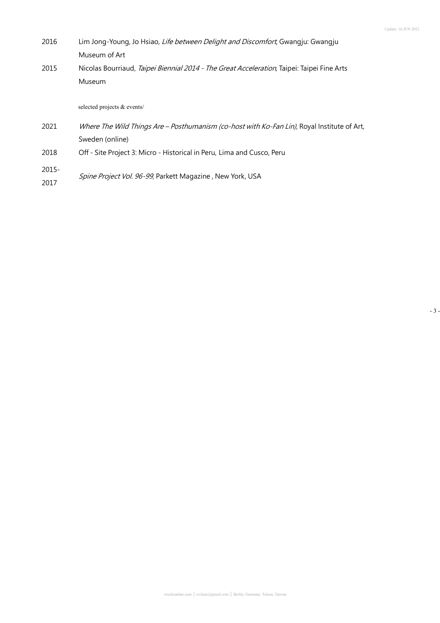- 3 -

- 2016 Lim Jong-Young, Jo Hsiao, Life between Delight and Discomfort, Gwangju: Gwangju Museum of Art
- 2015 Nicolas Bourriaud, Taipei Biennial 2014 The Great Acceleration, Taipei: Taipei Fine Arts Museum

selected projects & events/

- 2021 Where The Wild Things Are Posthumanism (co-host with Ko-Fan Lin), Royal Institute of Art, Sweden (online)
- 2018 Off Site Project 3: Micro Historical in Peru, Lima and Cusco, Peru
- 2015- 2017 Spine Project Vol. 96-99, Parkett Magazine, New York, USA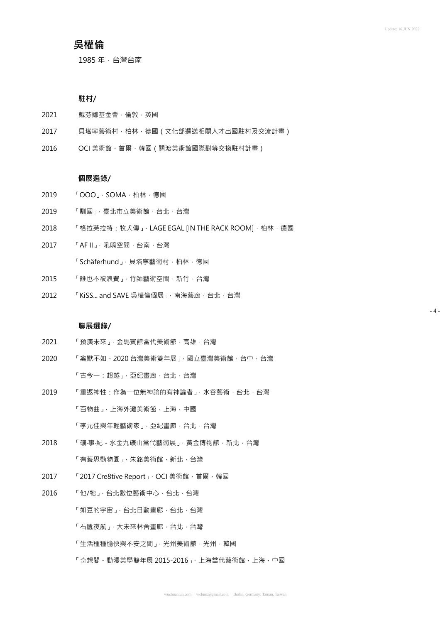$- 4 -$ 

# **吳權倫**

1985 年,台灣台南

# **駐村/**

- 2021 戴芬娜基金會,倫敦,英國
- 2017 貝塔寧藝術村,柏林,德國 (文化部選送相關人才出國駐村及交流計畫)
- 2016 OCI 美術館, 首爾, 韓國 ( 關渡美術館國際對等交換駐村計畫 )

## **個展選錄/**

- 2019 「OOO」, SOMA, 柏林, 德國
- 2019 「馴國」,臺北市立美術館,台北,台灣
- 2018 「格拉芙拉特:牧犬傳」, LAGE EGAL [IN THE RACK ROOM], 柏林, 德國
- 2017 「AF II」, 吼嘀空間, 台南, 台灣

「Schäferhund」, 貝塔寧藝術村, 柏林, 德國

- 2015 「誰也不被浪費」,竹師藝術空間,新竹,台灣
- 2012 「KiSS... and SAVE 吳權倫個展」,南海藝廊,台北,台灣

#### **聯展選錄/**

- 2021 「預演未來」,金馬賓館當代美術館,高雄,台灣
- 2020 「禽獸不如-2020 台灣美術雙年展」,國立臺灣美術館,台中,台灣 「古今一:超越」,亞紀畫廊,台北,台灣
- 2019 「重返神性:作為一位無神論的有神論者」,水谷藝術,台北,台灣 「百物曲」,上海外灘美術館,上海,中國 「李元佳與年輕藝術家」,亞紀畫廊,台北,台灣
- 2018 「礦‧事‧紀-水金九礦山當代藝術展」,黃金博物館,新北,台灣 「有藝思動物園」,朱銘美術館,新北,台灣
- 2017 「2017 Cre8tive Report」, OCI 美術館,首爾,韓國
- 2016 「他/牠」,台北數位藝術中心,台北,台灣
	- 「如豆的宇宙」,台北日動畫廊,台北,台灣
	- 「石匱夜航」,大未來林舍畫廊,台北,台灣
	- 「生活種種愉快與不安之間」,光州美術館,光州,韓國
	- 「奇想閣-動漫美學雙年展 2015-2016」,上海當代藝術館,上海,中國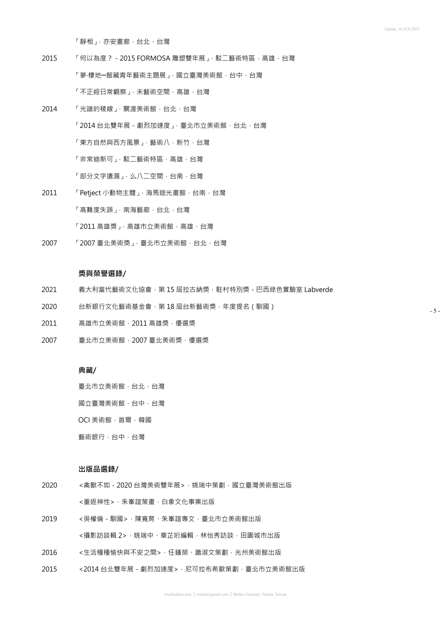「靜相」,亦安畫廊,台北,台灣

- 2015 「何以為度? 2015 FORMOSA 雕塑雙年展」, 駁二藝術特區, 高雄, 台灣 「夢‧棲地─館藏青年藝術主題展」,國立臺灣美術館,台中,台灣 「不正經日常觀察」,未藝術空間,高雄,台灣
- 2014 「光譜的稜線」,關渡美術館, 台北, 台灣 「2014台北雙年展 - 劇烈加速度」, 臺北市立美術館, 台北, 台灣 「東方自然與西方風景」,藝術八,新竹,台灣 「非常迪斯可」,駁二藝術特區,高雄,台灣 「部分文字遺漏」, 么八二空間, 台南, 台灣
- 2011 「Petject 小動物主體」, 海馬迴光畫館, 台南, 台灣 「高難度失誤」,南海藝廊,台北,台灣 「2011 高雄獎」, 高雄市立美術館, 高雄, 台灣
- 2007 「2007 臺北美術獎」,臺北市立美術館,台北,台灣

### **獎與榮譽選錄/**

- 2021 義大利當代藝術文化協會, 第 15 屆拉古納獎, 駐村特別獎 巴西綠色實驗室 Labverde
- 2020 台新銀行文化藝術基金會,第 18 屆台新藝術獎,年度提名(馴國)
- 2011 高雄市立美術館,2011 高雄獎,優選獎
- 2007 臺北市立美術館,2007 臺北美術獎,優選獎

### **典藏/**

臺北市立美術館,台北,台灣

國立臺灣美術館,台中,台灣

OCI 美術館,首爾,韓國

藝術銀行,台中,台灣

#### **出版品選錄/**

- 2020 <离獸不如 2020 台灣美術雙年展 > · 姚瑞中策劃 · 國立臺灣美術館出版 <重返神性>,朱峯誼策畫,白象文化事業出版
- 2019 <吳權倫 馴國>,陳寬育、朱峯誼專文,臺北市立美術館出版 <攝影訪談輯 2>, 姚瑞中、章芷珩編輯, 林怡秀訪談, 田園城市出版
- 2016 <生活種種愉快與不安之間>,任鍾榮、蕭淑文策劃,光州美術館出版
- 2015 <2014 台北雙年展 劇烈加速度 > · 尼可拉布希歐策劃 · 臺北市立美術館出版

- 5 -